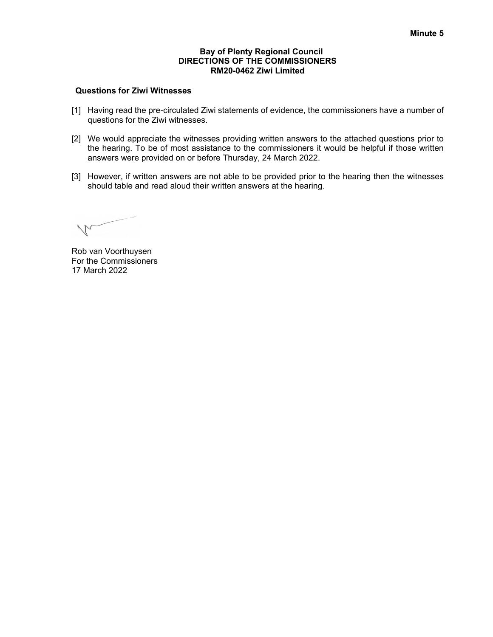### **Bay of Plenty Regional Council DIRECTIONS OF THE COMMISSIONERS RM20-0462 Ziwi Limited**

### **Questions for Ziwi Witnesses**

- [1] Having read the pre-circulated Ziwi statements of evidence, the commissioners have a number of questions for the Ziwi witnesses.
- [2] We would appreciate the witnesses providing written answers to the attached questions prior to the hearing. To be of most assistance to the commissioners it would be helpful if those written answers were provided on or before Thursday, 24 March 2022.
- [3] However, if written answers are not able to be provided prior to the hearing then the witnesses should table and read aloud their written answers at the hearing.

 $\sqrt{\phantom{a}}$ 

Rob van Voorthuysen For the Commissioners 17 March 2022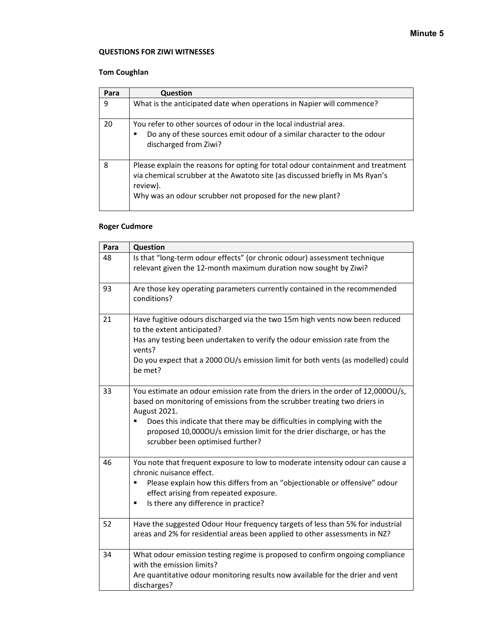### **QUESTIONS FOR ZIWI WITNESSES**

# **Tom Coughlan**

| Para | Question                                                                                                                                                                                                                                 |
|------|------------------------------------------------------------------------------------------------------------------------------------------------------------------------------------------------------------------------------------------|
| 9    | What is the anticipated date when operations in Napier will commence?                                                                                                                                                                    |
| 20   | You refer to other sources of odour in the local industrial area.<br>Do any of these sources emit odour of a similar character to the odour<br>discharged from Ziwi?                                                                     |
| 8    | Please explain the reasons for opting for total odour containment and treatment<br>via chemical scrubber at the Awatoto site (as discussed briefly in Ms Ryan's<br>review).<br>Why was an odour scrubber not proposed for the new plant? |

## **Roger Cudmore**

| Para | Question                                                                                                                                                                                                                                                                                                                                                              |
|------|-----------------------------------------------------------------------------------------------------------------------------------------------------------------------------------------------------------------------------------------------------------------------------------------------------------------------------------------------------------------------|
| 48   | Is that "long-term odour effects" (or chronic odour) assessment technique<br>relevant given the 12-month maximum duration now sought by Ziwi?                                                                                                                                                                                                                         |
| 93   | Are those key operating parameters currently contained in the recommended<br>conditions?                                                                                                                                                                                                                                                                              |
| 21   | Have fugitive odours discharged via the two 15m high vents now been reduced<br>to the extent anticipated?<br>Has any testing been undertaken to verify the odour emission rate from the<br>vents?<br>Do you expect that a 2000 OU/s emission limit for both vents (as modelled) could<br>be met?                                                                      |
| 33   | You estimate an odour emission rate from the driers in the order of 12,0000U/s,<br>based on monitoring of emissions from the scrubber treating two driers in<br>August 2021.<br>Does this indicate that there may be difficulties in complying with the<br>proposed 10,0000U/s emission limit for the drier discharge, or has the<br>scrubber been optimised further? |
| 46   | You note that frequent exposure to low to moderate intensity odour can cause a<br>chronic nuisance effect.<br>Please explain how this differs from an "objectionable or offensive" odour<br>effect arising from repeated exposure.<br>Is there any difference in practice?<br>Ξ                                                                                       |
| 52   | Have the suggested Odour Hour frequency targets of less than 5% for industrial<br>areas and 2% for residential areas been applied to other assessments in NZ?                                                                                                                                                                                                         |
| 34   | What odour emission testing regime is proposed to confirm ongoing compliance<br>with the emission limits?<br>Are quantitative odour monitoring results now available for the drier and vent<br>discharges?                                                                                                                                                            |